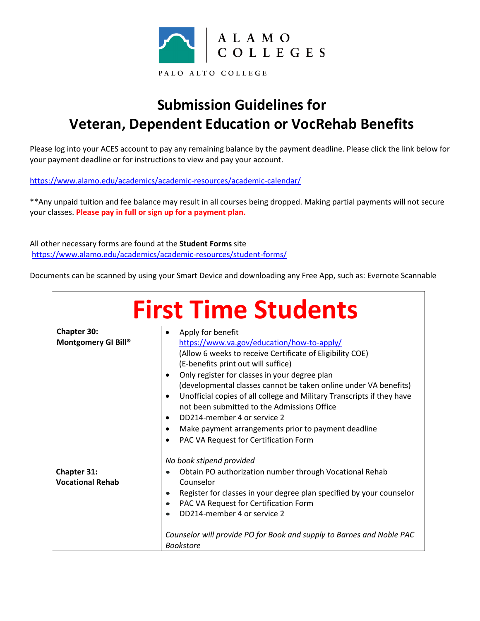

## **Submission Guidelines for Veteran, Dependent Education or VocRehab Benefits**

Please log into your ACES account to pay any remaining balance by the payment deadline. Please click the link below for your payment deadline or for instructions to view and pay your account.

<https://www.alamo.edu/academics/academic-resources/academic-calendar/>

\*\*Any unpaid tuition and fee balance may result in all courses being dropped. Making partial payments will not secure your classes. **Please pay in full or sign up for a payment plan.** 

All other necessary forms are found at the **Student Forms** site <https://www.alamo.edu/academics/academic-resources/student-forms/>

Documents can be scanned by using your Smart Device and downloading any Free App, such as: Evernote Scannable

| <b>First Time Students</b>                |                                                                                                                                                                                                                                                                                                                                                                                                                                                                                                                                                                                   |
|-------------------------------------------|-----------------------------------------------------------------------------------------------------------------------------------------------------------------------------------------------------------------------------------------------------------------------------------------------------------------------------------------------------------------------------------------------------------------------------------------------------------------------------------------------------------------------------------------------------------------------------------|
| <b>Chapter 30:</b><br>Montgomery GI Bill® | Apply for benefit<br>$\bullet$<br>https://www.va.gov/education/how-to-apply/<br>(Allow 6 weeks to receive Certificate of Eligibility COE)<br>(E-benefits print out will suffice)<br>Only register for classes in your degree plan<br>(developmental classes cannot be taken online under VA benefits)<br>Unofficial copies of all college and Military Transcripts if they have<br>٠<br>not been submitted to the Admissions Office<br>DD214-member 4 or service 2<br>٠<br>Make payment arrangements prior to payment deadline<br>٠<br>PAC VA Request for Certification Form<br>٠ |
|                                           | No book stipend provided                                                                                                                                                                                                                                                                                                                                                                                                                                                                                                                                                          |
| Chapter 31:<br><b>Vocational Rehab</b>    | Obtain PO authorization number through Vocational Rehab<br>$\bullet$<br>Counselor<br>Register for classes in your degree plan specified by your counselor<br>$\bullet$<br>PAC VA Request for Certification Form<br>$\bullet$<br>DD214-member 4 or service 2<br>Counselor will provide PO for Book and supply to Barnes and Noble PAC<br><b>Bookstore</b>                                                                                                                                                                                                                          |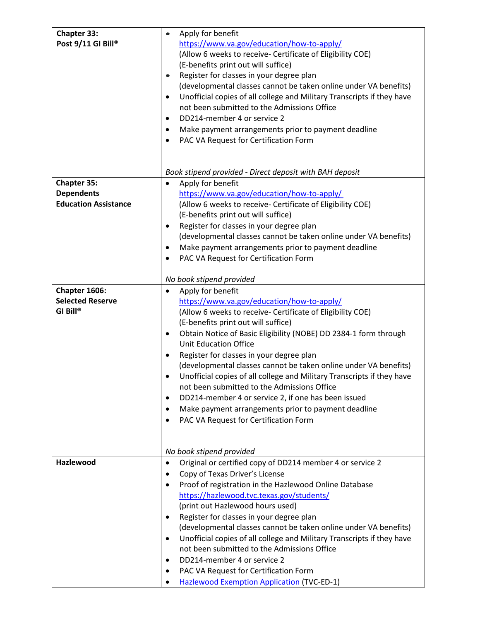| Chapter 33:                 | Apply for benefit                                                                   |
|-----------------------------|-------------------------------------------------------------------------------------|
| Post 9/11 GI Bill®          | https://www.va.gov/education/how-to-apply/                                          |
|                             | (Allow 6 weeks to receive- Certificate of Eligibility COE)                          |
|                             | (E-benefits print out will suffice)                                                 |
|                             | Register for classes in your degree plan<br>$\bullet$                               |
|                             | (developmental classes cannot be taken online under VA benefits)                    |
|                             | Unofficial copies of all college and Military Transcripts if they have<br>$\bullet$ |
|                             | not been submitted to the Admissions Office                                         |
|                             | DD214-member 4 or service 2<br>$\bullet$                                            |
|                             |                                                                                     |
|                             | Make payment arrangements prior to payment deadline<br>٠                            |
|                             | PAC VA Request for Certification Form                                               |
|                             |                                                                                     |
|                             |                                                                                     |
|                             | Book stipend provided - Direct deposit with BAH deposit                             |
| <b>Chapter 35:</b>          | Apply for benefit<br>٠                                                              |
| <b>Dependents</b>           | https://www.va.gov/education/how-to-apply/                                          |
| <b>Education Assistance</b> | (Allow 6 weeks to receive- Certificate of Eligibility COE)                          |
|                             | (E-benefits print out will suffice)                                                 |
|                             | Register for classes in your degree plan<br>$\bullet$                               |
|                             | (developmental classes cannot be taken online under VA benefits)                    |
|                             | Make payment arrangements prior to payment deadline                                 |
|                             | PAC VA Request for Certification Form                                               |
|                             |                                                                                     |
|                             | No book stipend provided                                                            |
| Chapter 1606:               | Apply for benefit<br>$\bullet$                                                      |
| <b>Selected Reserve</b>     | https://www.va.gov/education/how-to-apply/                                          |
| GI Bill®                    | (Allow 6 weeks to receive- Certificate of Eligibility COE)                          |
|                             | (E-benefits print out will suffice)                                                 |
|                             | Obtain Notice of Basic Eligibility (NOBE) DD 2384-1 form through<br>٠               |
|                             | <b>Unit Education Office</b>                                                        |
|                             | Register for classes in your degree plan<br>٠                                       |
|                             | (developmental classes cannot be taken online under VA benefits)                    |
|                             | Unofficial copies of all college and Military Transcripts if they have<br>٠         |
|                             | not been submitted to the Admissions Office                                         |
|                             | DD214-member 4 or service 2, if one has been issued                                 |
|                             | Make payment arrangements prior to payment deadline<br>٠                            |
|                             | PAC VA Request for Certification Form<br>٠                                          |
|                             |                                                                                     |
|                             |                                                                                     |
|                             | No book stipend provided                                                            |
| <b>Hazlewood</b>            | Original or certified copy of DD214 member 4 or service 2<br>$\bullet$              |
|                             | Copy of Texas Driver's License<br>$\bullet$                                         |
|                             | Proof of registration in the Hazlewood Online Database<br>٠                         |
|                             | https://hazlewood.tvc.texas.gov/students/                                           |
|                             | (print out Hazlewood hours used)                                                    |
|                             | Register for classes in your degree plan<br>$\bullet$                               |
|                             | (developmental classes cannot be taken online under VA benefits)                    |
|                             | Unofficial copies of all college and Military Transcripts if they have<br>٠         |
|                             | not been submitted to the Admissions Office                                         |
|                             | DD214-member 4 or service 2<br>٠                                                    |
|                             | PAC VA Request for Certification Form<br>٠                                          |
|                             |                                                                                     |
|                             | <b>Hazlewood Exemption Application (TVC-ED-1)</b>                                   |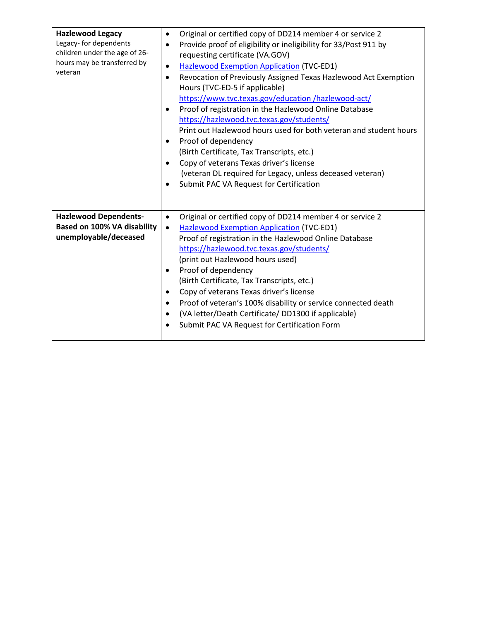| <b>Hazlewood Legacy</b><br>Legacy- for dependents<br>children under the age of 26-<br>hours may be transferred by<br>veteran | Original or certified copy of DD214 member 4 or service 2<br>$\bullet$<br>Provide proof of eligibility or ineligibility for 33/Post 911 by<br>$\bullet$<br>requesting certificate (VA.GOV)<br><b>Hazlewood Exemption Application (TVC-ED1)</b><br>$\bullet$<br>Revocation of Previously Assigned Texas Hazlewood Act Exemption<br>$\bullet$<br>Hours (TVC-ED-5 if applicable)<br>https://www.tvc.texas.gov/education/hazlewood-act/<br>Proof of registration in the Hazlewood Online Database<br>$\bullet$<br>https://hazlewood.tvc.texas.gov/students/<br>Print out Hazlewood hours used for both veteran and student hours<br>Proof of dependency<br>٠<br>(Birth Certificate, Tax Transcripts, etc.)<br>Copy of veterans Texas driver's license<br>٠<br>(veteran DL required for Legacy, unless deceased veteran)<br>Submit PAC VA Request for Certification<br>$\bullet$ |
|------------------------------------------------------------------------------------------------------------------------------|-----------------------------------------------------------------------------------------------------------------------------------------------------------------------------------------------------------------------------------------------------------------------------------------------------------------------------------------------------------------------------------------------------------------------------------------------------------------------------------------------------------------------------------------------------------------------------------------------------------------------------------------------------------------------------------------------------------------------------------------------------------------------------------------------------------------------------------------------------------------------------|
| <b>Hazlewood Dependents-</b><br>Based on 100% VA disability<br>unemployable/deceased                                         | Original or certified copy of DD214 member 4 or service 2<br>$\bullet$<br><b>Hazlewood Exemption Application (TVC-ED1)</b><br>$\bullet$<br>Proof of registration in the Hazlewood Online Database<br>https://hazlewood.tvc.texas.gov/students/<br>(print out Hazlewood hours used)<br>Proof of dependency<br>٠<br>(Birth Certificate, Tax Transcripts, etc.)<br>Copy of veterans Texas driver's license<br>٠<br>Proof of veteran's 100% disability or service connected death<br>٠<br>(VA letter/Death Certificate/ DD1300 if applicable)<br>$\bullet$<br>Submit PAC VA Request for Certification Form                                                                                                                                                                                                                                                                      |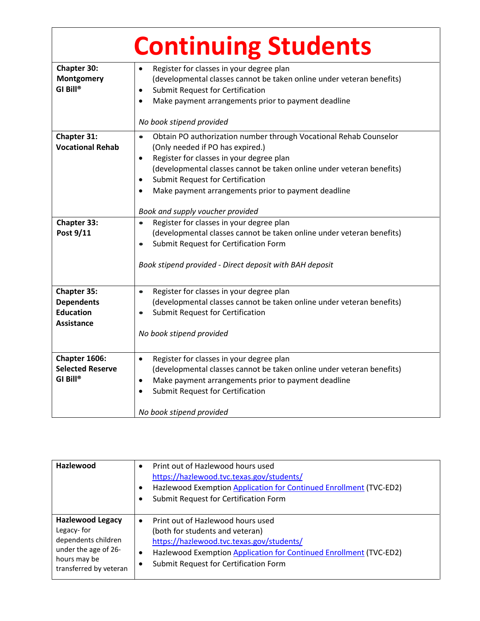|                                                                           | <b>Continuing Students</b>                                                                                                                                                                                                                                                                                                                                                                       |
|---------------------------------------------------------------------------|--------------------------------------------------------------------------------------------------------------------------------------------------------------------------------------------------------------------------------------------------------------------------------------------------------------------------------------------------------------------------------------------------|
| Chapter 30:<br>Montgomery<br>GI Bill®                                     | Register for classes in your degree plan<br>$\bullet$<br>(developmental classes cannot be taken online under veteran benefits)<br>Submit Request for Certification<br>$\bullet$<br>Make payment arrangements prior to payment deadline<br>$\bullet$<br>No book stipend provided                                                                                                                  |
| Chapter 31:<br><b>Vocational Rehab</b>                                    | Obtain PO authorization number through Vocational Rehab Counselor<br>$\bullet$<br>(Only needed if PO has expired.)<br>Register for classes in your degree plan<br>$\bullet$<br>(developmental classes cannot be taken online under veteran benefits)<br>Submit Request for Certification<br>$\bullet$<br>Make payment arrangements prior to payment deadline<br>Book and supply voucher provided |
| <b>Chapter 33:</b><br>Post 9/11                                           | Register for classes in your degree plan<br>(developmental classes cannot be taken online under veteran benefits)<br>Submit Request for Certification Form<br>Book stipend provided - Direct deposit with BAH deposit                                                                                                                                                                            |
| Chapter 35:<br><b>Dependents</b><br><b>Education</b><br><b>Assistance</b> | Register for classes in your degree plan<br>$\bullet$<br>(developmental classes cannot be taken online under veteran benefits)<br>Submit Request for Certification<br>No book stipend provided                                                                                                                                                                                                   |
| Chapter 1606:<br><b>Selected Reserve</b><br>GI Bill®                      | Register for classes in your degree plan<br>$\bullet$<br>(developmental classes cannot be taken online under veteran benefits)<br>Make payment arrangements prior to payment deadline<br>$\bullet$<br>Submit Request for Certification<br>$\bullet$<br>No book stipend provided                                                                                                                  |

| Hazlewood                                                                                                                      | Print out of Hazlewood hours used<br>$\bullet$<br>https://hazlewood.tvc.texas.gov/students/<br>Hazlewood Exemption Application for Continued Enrollment (TVC-ED2)<br>Submit Request for Certification Form                                         |
|--------------------------------------------------------------------------------------------------------------------------------|----------------------------------------------------------------------------------------------------------------------------------------------------------------------------------------------------------------------------------------------------|
| <b>Hazlewood Legacy</b><br>Legacy-for<br>dependents children<br>under the age of 26-<br>hours may be<br>transferred by veteran | Print out of Hazlewood hours used<br>$\bullet$<br>(both for students and veteran)<br>https://hazlewood.tvc.texas.gov/students/<br>Hazlewood Exemption Application for Continued Enrollment (TVC-ED2)<br>٠<br>Submit Request for Certification Form |